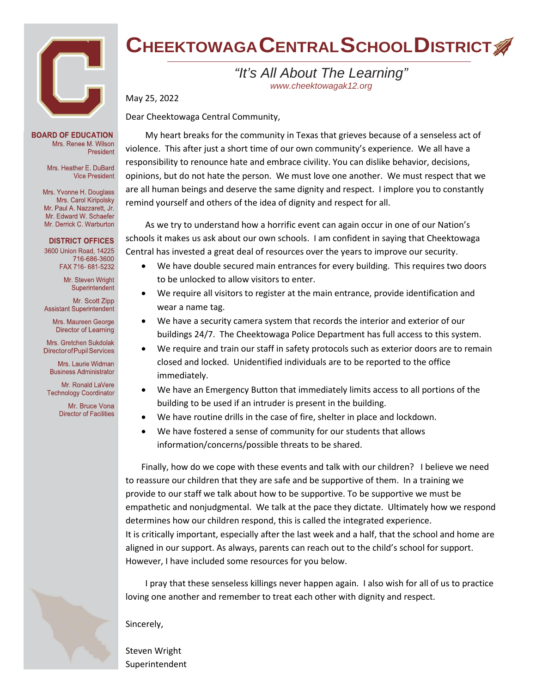

#### **BOARD OF EDUCATION** Mrs. Renee M. Wilson President

Mrs. Heather E. DuBard **Vice President** 

Mrs. Yvonne H. Douglass Mrs. Carol Kiripolsky Mr. Paul A. Nazzarett, Jr. Mr. Edward W. Schaefer Mr. Derrick C. Warburton

#### **DISTRICT OFFICES**

3600 Union Road, 14225 716-686-3600 FAX 716-681-5232

> Mr. Steven Wright Superintendent

Mr. Scott Zinn **Assistant Superintendent** 

Mrs. Maureen George Director of Learning

Mrs. Gretchen Sukdolak **Director of Pupil Services** 

Mrs. Laurie Widman **Business Administrator** 

Mr. Ronald LaVere **Technology Coordinator** 

> Mr. Bruce Vona **Director of Facilities**

# **CHEEKTOWAGACENTRALSCHOOLDISTRICT**

## *"It's All About The Learning" [www.cheektowagak12.org](http://www.cheektowagak12.org/)*

May 25, 2022

Dear Cheektowaga Central Community,

My heart breaks for the community in Texas that grieves because of a senseless act of violence. This after just a short time of our own community's experience. We all have a responsibility to renounce hate and embrace civility. You can dislike behavior, decisions, opinions, but do not hate the person. We must love one another. We must respect that we are all human beings and deserve the same dignity and respect. I implore you to constantly remind yourself and others of the idea of dignity and respect for all.

As we try to understand how a horrific event can again occur in one of our Nation's schools it makes us ask about our own schools. I am confident in saying that Cheektowaga Central has invested a great deal of resources over the years to improve our security.

- We have double secured main entrances for every building. This requires two doors to be unlocked to allow visitors to enter.
- We require all visitors to register at the main entrance, provide identification and wear a name tag.
- We have a security camera system that records the interior and exterior of our buildings 24/7. The Cheektowaga Police Department has full access to this system.
- We require and train our staff in safety protocols such as exterior doors are to remain closed and locked. Unidentified individuals are to be reported to the office immediately.
- We have an Emergency Button that immediately limits access to all portions of the building to be used if an intruder is present in the building.
- We have routine drills in the case of fire, shelter in place and lockdown.
- We have fostered a sense of community for our students that allows information/concerns/possible threats to be shared.

Finally, how do we cope with these events and talk with our children? I believe we need to reassure our children that they are safe and be supportive of them. In a training we provide to our staff we talk about how to be supportive. To be supportive we must be empathetic and nonjudgmental. We talk at the pace they dictate. Ultimately how we respond determines how our children respond, this is called the integrated experience. It is critically important, especially after the last week and a half, that the school and home are aligned in our support. As always, parents can reach out to the child's school for support. However, I have included some resources for you below.

I pray that these senseless killings never happen again. I also wish for all of us to practice loving one another and remember to treat each other with dignity and respect.

#### Sincerely,

Steven Wright Superintendent